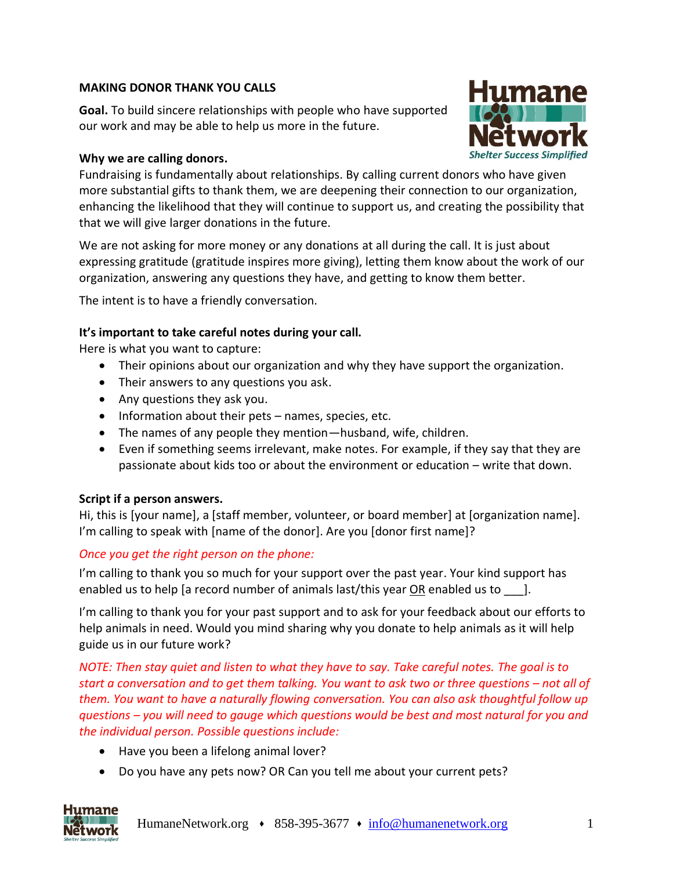### **MAKING DONOR THANK YOU CALLS**

**Goal.** To build sincere relationships with people who have supported our work and may be able to help us more in the future.

### **Why we are calling donors.**



Fundraising is fundamentally about relationships. By calling current donors who have given more substantial gifts to thank them, we are deepening their connection to our organization, enhancing the likelihood that they will continue to support us, and creating the possibility that that we will give larger donations in the future.

We are not asking for more money or any donations at all during the call. It is just about expressing gratitude (gratitude inspires more giving), letting them know about the work of our organization, answering any questions they have, and getting to know them better.

The intent is to have a friendly conversation.

#### **It's important to take careful notes during your call.**

Here is what you want to capture:

- Their opinions about our organization and why they have support the organization.
- Their answers to any questions you ask.
- Any questions they ask you.
- Information about their pets names, species, etc.
- The names of any people they mention—husband, wife, children.
- Even if something seems irrelevant, make notes. For example, if they say that they are passionate about kids too or about the environment or education – write that down.

#### **Script if a person answers.**

Hi, this is [your name], a [staff member, volunteer, or board member] at [organization name]. I'm calling to speak with [name of the donor]. Are you [donor first name]?

#### *Once you get the right person on the phone:*

I'm calling to thank you so much for your support over the past year. Your kind support has enabled us to help [a record number of animals last/this year  $OR$  enabled us to  $\qquad$ ].

I'm calling to thank you for your past support and to ask for your feedback about our efforts to help animals in need. Would you mind sharing why you donate to help animals as it will help guide us in our future work?

*NOTE: Then stay quiet and listen to what they have to say. Take careful notes. The goal is to start a conversation and to get them talking. You want to ask two or three questions – not all of them. You want to have a naturally flowing conversation. You can also ask thoughtful follow up questions – you will need to gauge which questions would be best and most natural for you and the individual person. Possible questions include:* 

- Have you been a lifelong animal lover?
- Do you have any pets now? OR Can you tell me about your current pets?